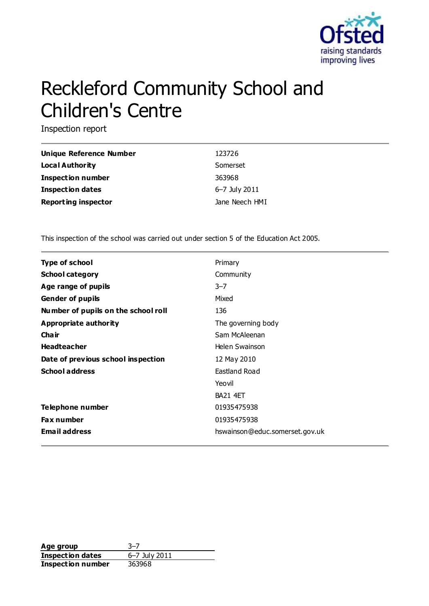

# Reckleford Community School and Children's Centre

Inspection report

| <b>Unique Reference Number</b> | 123726         |
|--------------------------------|----------------|
| Local Authority                | Somerset       |
| <b>Inspection number</b>       | 363968         |
| <b>Inspection dates</b>        | 6–7 July 2011  |
| <b>Reporting inspector</b>     | Jane Neech HMI |

This inspection of the school was carried out under section 5 of the Education Act 2005.

| <b>Type of school</b>               | Primary                        |
|-------------------------------------|--------------------------------|
|                                     |                                |
| <b>School category</b>              | Community                      |
| Age range of pupils                 | $3 - 7$                        |
| <b>Gender of pupils</b>             | Mixed                          |
| Number of pupils on the school roll | 136                            |
| Appropriate authority               | The governing body             |
| Cha ir                              | Sam McAleenan                  |
| <b>Headteacher</b>                  | Helen Swainson                 |
| Date of previous school inspection  | 12 May 2010                    |
| <b>School address</b>               | Eastland Road                  |
|                                     | Yeovil                         |
|                                     | <b>BA21 4ET</b>                |
| Telephone number                    | 01935475938                    |
| <b>Fax number</b>                   | 01935475938                    |
| <b>Email address</b>                | hswainson@educ.somerset.gov.uk |

**Age group** 3–7 **Inspection dates** 6–7 July 2011 **Inspection number** 363968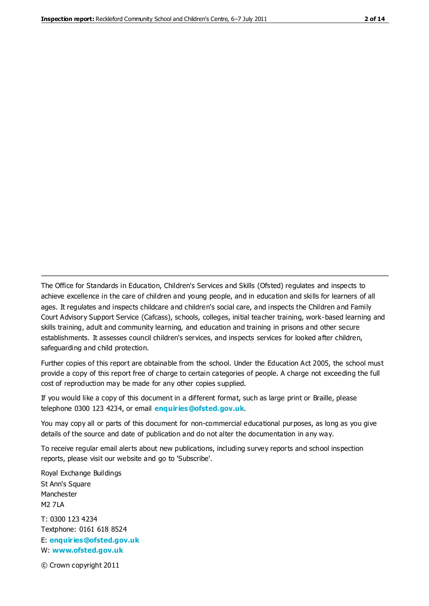The Office for Standards in Education, Children's Services and Skills (Ofsted) regulates and inspects to achieve excellence in the care of children and young people, and in education and skills for learners of all ages. It regulates and inspects childcare and children's social care, and inspects the Children and Family Court Advisory Support Service (Cafcass), schools, colleges, initial teacher training, work-based learning and skills training, adult and community learning, and education and training in prisons and other secure establishments. It assesses council children's services, and inspects services for looked after children, safeguarding and child protection.

Further copies of this report are obtainable from the school. Under the Education Act 2005, the school must provide a copy of this report free of charge to certain categories of people. A charge not exceeding the full cost of reproduction may be made for any other copies supplied.

If you would like a copy of this document in a different format, such as large print or Braille, please telephone 0300 123 4234, or email **[enquiries@ofsted.gov.uk](mailto:enquiries@ofsted.gov.uk)**.

You may copy all or parts of this document for non-commercial educational purposes, as long as you give details of the source and date of publication and do not alter the documentation in any way.

To receive regular email alerts about new publications, including survey reports and school inspection reports, please visit our website and go to 'Subscribe'.

Royal Exchange Buildings St Ann's Square Manchester M2 7LA T: 0300 123 4234 Textphone: 0161 618 8524 E: **[enquiries@ofsted.gov.uk](mailto:enquiries@ofsted.gov.uk)**

W: **[www.ofsted.gov.uk](http://www.ofsted.gov.uk/)**

© Crown copyright 2011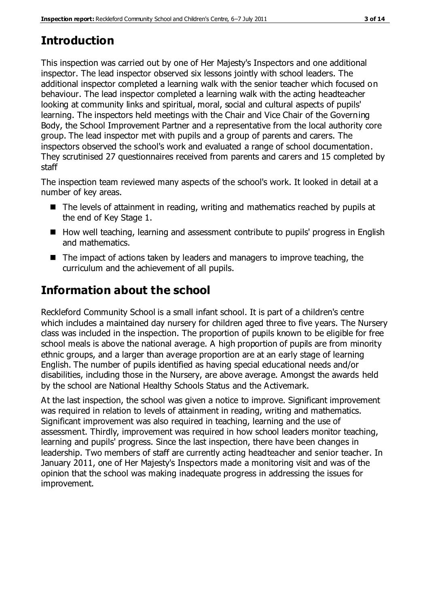# **Introduction**

This inspection was carried out by one of Her Majesty's Inspectors and one additional inspector. The lead inspector observed six lessons jointly with school leaders. The additional inspector completed a learning walk with the senior teacher which focused on behaviour. The lead inspector completed a learning walk with the acting headteacher looking at community links and spiritual, moral, social and cultural aspects of pupils' learning. The inspectors held meetings with the Chair and Vice Chair of the Governing Body, the School Improvement Partner and a representative from the local authority core group. The lead inspector met with pupils and a group of parents and carers. The inspectors observed the school's work and evaluated a range of school documentation. They scrutinised 27 questionnaires received from parents and carers and 15 completed by staff

The inspection team reviewed many aspects of the school's work. It looked in detail at a number of key areas.

- The levels of attainment in reading, writing and mathematics reached by pupils at the end of Key Stage 1.
- How well teaching, learning and assessment contribute to pupils' progress in English and mathematics.
- The impact of actions taken by leaders and managers to improve teaching, the curriculum and the achievement of all pupils.

# **Information about the school**

Reckleford Community School is a small infant school. It is part of a children's centre which includes a maintained day nursery for children aged three to five years. The Nursery class was included in the inspection. The proportion of pupils known to be eligible for free school meals is above the national average. A high proportion of pupils are from minority ethnic groups, and a larger than average proportion are at an early stage of learning English. The number of pupils identified as having special educational needs and/or disabilities, including those in the Nursery, are above average. Amongst the awards held by the school are National Healthy Schools Status and the Activemark.

At the last inspection, the school was given a notice to improve. Significant improvement was required in relation to levels of attainment in reading, writing and mathematics. Significant improvement was also required in teaching, learning and the use of assessment. Thirdly, improvement was required in how school leaders monitor teaching, learning and pupils' progress. Since the last inspection, there have been changes in leadership. Two members of staff are currently acting headteacher and senior teacher. In January 2011, one of Her Majesty's Inspectors made a monitoring visit and was of the opinion that the school was making inadequate progress in addressing the issues for improvement.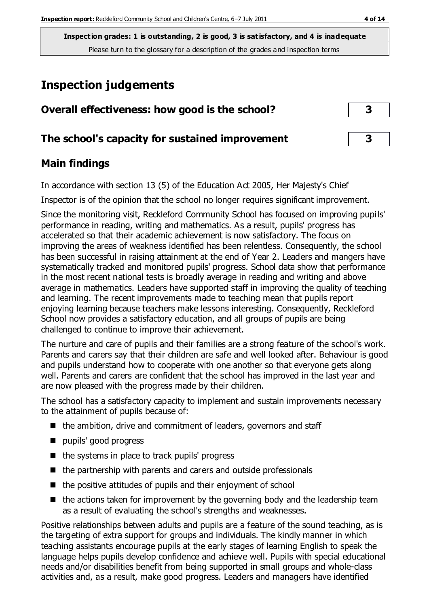# **Inspection judgements**

| Overall effectiveness: how good is the school?  | 3 |
|-------------------------------------------------|---|
| The school's capacity for sustained improvement | 3 |

## **Main findings**

In accordance with section 13 (5) of the Education Act 2005, Her Majesty's Chief

Inspector is of the opinion that the school no longer requires significant improvement.

Since the monitoring visit, Reckleford Community School has focused on improving pupils' performance in reading, writing and mathematics. As a result, pupils' progress has accelerated so that their academic achievement is now satisfactory. The focus on improving the areas of weakness identified has been relentless. Consequently, the school has been successful in raising attainment at the end of Year 2. Leaders and mangers have systematically tracked and monitored pupils' progress. School data show that performance in the most recent national tests is broadly average in reading and writing and above average in mathematics. Leaders have supported staff in improving the quality of teaching and learning. The recent improvements made to teaching mean that pupils report enjoying learning because teachers make lessons interesting. Consequently, Reckleford School now provides a satisfactory education, and all groups of pupils are being challenged to continue to improve their achievement.

The nurture and care of pupils and their families are a strong feature of the school's work. Parents and carers say that their children are safe and well looked after. Behaviour is good and pupils understand how to cooperate with one another so that everyone gets along well. Parents and carers are confident that the school has improved in the last year and are now pleased with the progress made by their children.

The school has a satisfactory capacity to implement and sustain improvements necessary to the attainment of pupils because of:

- $\blacksquare$  the ambition, drive and commitment of leaders, governors and staff
- pupils' good progress
- $\blacksquare$  the systems in place to track pupils' progress
- $\blacksquare$  the partnership with parents and carers and outside professionals
- $\blacksquare$  the positive attitudes of pupils and their enjoyment of school
- $\blacksquare$  the actions taken for improvement by the governing body and the leadership team as a result of evaluating the school's strengths and weaknesses.

Positive relationships between adults and pupils are a feature of the sound teaching, as is the targeting of extra support for groups and individuals. The kindly manner in which teaching assistants encourage pupils at the early stages of learning English to speak the language helps pupils develop confidence and achieve well. Pupils with special educational needs and/or disabilities benefit from being supported in small groups and whole-class activities and, as a result, make good progress. Leaders and managers have identified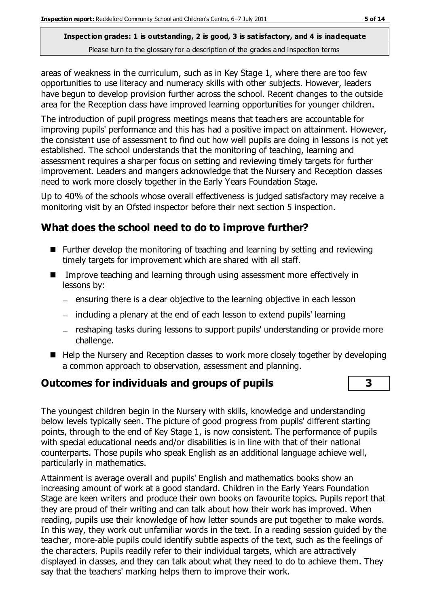areas of weakness in the curriculum, such as in Key Stage 1, where there are too few opportunities to use literacy and numeracy skills with other subjects. However, leaders have begun to develop provision further across the school. Recent changes to the outside area for the Reception class have improved learning opportunities for younger children.

The introduction of pupil progress meetings means that teachers are accountable for improving pupils' performance and this has had a positive impact on attainment. However, the consistent use of assessment to find out how well pupils are doing in lessons is not yet established. The school understands that the monitoring of teaching, learning and assessment requires a sharper focus on setting and reviewing timely targets for further improvement. Leaders and mangers acknowledge that the Nursery and Reception classes need to work more closely together in the Early Years Foundation Stage.

Up to 40% of the schools whose overall effectiveness is judged satisfactory may receive a monitoring visit by an Ofsted inspector before their next section 5 inspection.

## **What does the school need to do to improve further?**

- Further develop the monitoring of teaching and learning by setting and reviewing timely targets for improvement which are shared with all staff.
- Improve teaching and learning through using assessment more effectively in lessons by:
	- $-$  ensuring there is a clear objective to the learning objective in each lesson
	- $-$  including a plenary at the end of each lesson to extend pupils' learning
	- reshaping tasks during lessons to support pupils' understanding or provide more challenge.
- $\blacksquare$  Help the Nursery and Reception classes to work more closely together by developing a common approach to observation, assessment and planning.

#### **Outcomes for individuals and groups of pupils 3**

The youngest children begin in the Nursery with skills, knowledge and understanding below levels typically seen. The picture of good progress from pupils' different starting points, through to the end of Key Stage 1, is now consistent. The performance of pupils with special educational needs and/or disabilities is in line with that of their national counterparts. Those pupils who speak English as an additional language achieve well, particularly in mathematics.

Attainment is average overall and pupils' English and mathematics books show an increasing amount of work at a good standard. Children in the Early Years Foundation Stage are keen writers and produce their own books on favourite topics. Pupils report that they are proud of their writing and can talk about how their work has improved. When reading, pupils use their knowledge of how letter sounds are put together to make words. In this way, they work out unfamiliar words in the text. In a reading session guided by the teacher, more-able pupils could identify subtle aspects of the text, such as the feelings of the characters. Pupils readily refer to their individual targets, which are attractively displayed in classes, and they can talk about what they need to do to achieve them. They say that the teachers' marking helps them to improve their work.

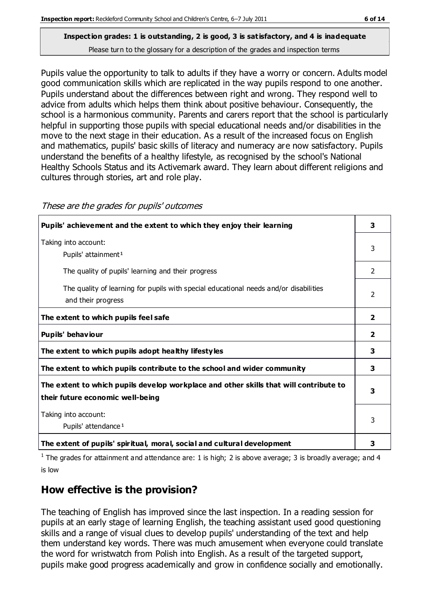Pupils value the opportunity to talk to adults if they have a worry or concern. Adults model good communication skills which are replicated in the way pupils respond to one another. Pupils understand about the differences between right and wrong. They respond well to advice from adults which helps them think about positive behaviour. Consequently, the school is a harmonious community. Parents and carers report that the school is particularly helpful in supporting those pupils with special educational needs and/or disabilities in the move to the next stage in their education. As a result of the increased focus on English and mathematics, pupils' basic skills of literacy and numeracy are now satisfactory. Pupils understand the benefits of a healthy lifestyle, as recognised by the school's National Healthy Schools Status and its Activemark award. They learn about different religions and cultures through stories, art and role play.

| Pupils' achievement and the extent to which they enjoy their learning                                                     | 3              |
|---------------------------------------------------------------------------------------------------------------------------|----------------|
| Taking into account:<br>Pupils' attainment <sup>1</sup>                                                                   | 3              |
| The quality of pupils' learning and their progress                                                                        | $\mathcal{P}$  |
| The quality of learning for pupils with special educational needs and/or disabilities<br>and their progress               | 2              |
| The extent to which pupils feel safe                                                                                      | $\mathbf{2}$   |
| Pupils' behaviour                                                                                                         | $\overline{2}$ |
| The extent to which pupils adopt healthy lifestyles                                                                       | 3              |
| The extent to which pupils contribute to the school and wider community                                                   | 3              |
| The extent to which pupils develop workplace and other skills that will contribute to<br>their future economic well-being | 3              |
| Taking into account:<br>Pupils' attendance <sup>1</sup>                                                                   | 3              |
| The extent of pupils' spiritual, moral, social and cultural development                                                   | 3              |

These are the grades for pupils' outcomes

<sup>1</sup> The grades for attainment and attendance are: 1 is high; 2 is above average; 3 is broadly average; and 4 is low

## **How effective is the provision?**

The teaching of English has improved since the last inspection. In a reading session for pupils at an early stage of learning English, the teaching assistant used good questioning skills and a range of visual clues to develop pupils' understanding of the text and help them understand key words. There was much amusement when everyone could translate the word for wristwatch from Polish into English. As a result of the targeted support, pupils make good progress academically and grow in confidence socially and emotionally.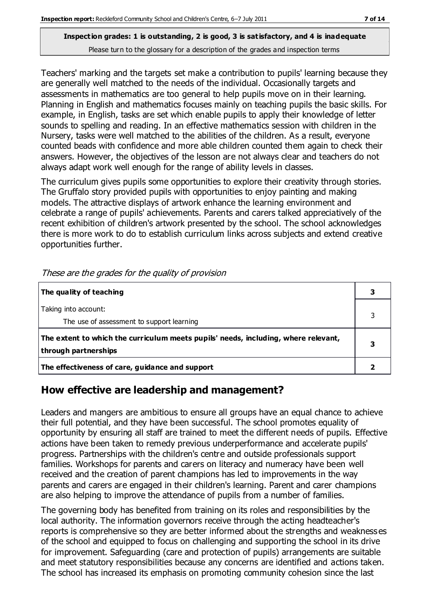Teachers' marking and the targets set make a contribution to pupils' learning because they are generally well matched to the needs of the individual. Occasionally targets and assessments in mathematics are too general to help pupils move on in their learning. Planning in English and mathematics focuses mainly on teaching pupils the basic skills. For example, in English, tasks are set which enable pupils to apply their knowledge of letter sounds to spelling and reading. In an effective mathematics session with children in the Nursery, tasks were well matched to the abilities of the children. As a result, everyone counted beads with confidence and more able children counted them again to check their answers. However, the objectives of the lesson are not always clear and teachers do not always adapt work well enough for the range of ability levels in classes.

The curriculum gives pupils some opportunities to explore their creativity through stories. The Gruffalo story provided pupils with opportunities to enjoy painting and making models. The attractive displays of artwork enhance the learning environment and celebrate a range of pupils' achievements. Parents and carers talked appreciatively of the recent exhibition of children's artwork presented by the school. The school acknowledges there is more work to do to establish curriculum links across subjects and extend creative opportunities further.

| The quality of teaching                                                                                    |   |
|------------------------------------------------------------------------------------------------------------|---|
| Taking into account:<br>The use of assessment to support learning                                          |   |
| The extent to which the curriculum meets pupils' needs, including, where relevant,<br>through partnerships | 3 |
| The effectiveness of care, guidance and support                                                            |   |

These are the grades for the quality of provision

## **How effective are leadership and management?**

Leaders and mangers are ambitious to ensure all groups have an equal chance to achieve their full potential, and they have been successful. The school promotes equality of opportunity by ensuring all staff are trained to meet the different needs of pupils. Effective actions have been taken to remedy previous underperformance and accelerate pupils' progress. Partnerships with the children's centre and outside professionals support families. Workshops for parents and carers on literacy and numeracy have been well received and the creation of parent champions has led to improvements in the way parents and carers are engaged in their children's learning. Parent and carer champions are also helping to improve the attendance of pupils from a number of families.

The governing body has benefited from training on its roles and responsibilities by the local authority. The information governors receive through the acting headteacher's reports is comprehensive so they are better informed about the strengths and weaknesses of the school and equipped to focus on challenging and supporting the school in its drive for improvement. Safeguarding (care and protection of pupils) arrangements are suitable and meet statutory responsibilities because any concerns are identified and actions taken. The school has increased its emphasis on promoting community cohesion since the last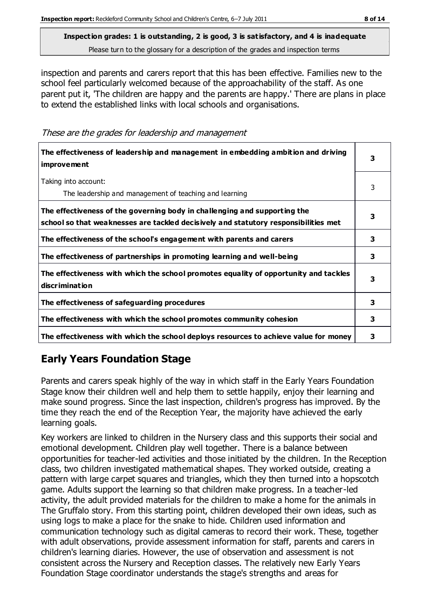inspection and parents and carers report that this has been effective. Families new to the school feel particularly welcomed because of the approachability of the staff. As one parent put it, 'The children are happy and the parents are happy.' There are plans in place to extend the established links with local schools and organisations.

These are the grades for leadership and management

| The effectiveness of leadership and management in embedding ambition and driving<br><i>improvement</i>                                                           |   |
|------------------------------------------------------------------------------------------------------------------------------------------------------------------|---|
| Taking into account:<br>The leadership and management of teaching and learning                                                                                   | 3 |
| The effectiveness of the governing body in challenging and supporting the<br>school so that weaknesses are tackled decisively and statutory responsibilities met | 3 |
| The effectiveness of the school's engagement with parents and carers                                                                                             | 3 |
| The effectiveness of partnerships in promoting learning and well-being                                                                                           | 3 |
| The effectiveness with which the school promotes equality of opportunity and tackles<br>discrimination                                                           | 3 |
| The effectiveness of safeguarding procedures                                                                                                                     | 3 |
| The effectiveness with which the school promotes community cohesion                                                                                              | 3 |
| The effectiveness with which the school deploys resources to achieve value for money                                                                             | 3 |

## **Early Years Foundation Stage**

Parents and carers speak highly of the way in which staff in the Early Years Foundation Stage know their children well and help them to settle happily, enjoy their learning and make sound progress. Since the last inspection, children's progress has improved. By the time they reach the end of the Reception Year, the majority have achieved the early learning goals.

Key workers are linked to children in the Nursery class and this supports their social and emotional development. Children play well together. There is a balance between opportunities for teacher-led activities and those initiated by the children. In the Reception class, two children investigated mathematical shapes. They worked outside, creating a pattern with large carpet squares and triangles, which they then turned into a hopscotch game. Adults support the learning so that children make progress. In a teacher-led activity, the adult provided materials for the children to make a home for the animals in The Gruffalo story. From this starting point, children developed their own ideas, such as using logs to make a place for the snake to hide. Children used information and communication technology such as digital cameras to record their work. These, together with adult observations, provide assessment information for staff, parents and carers in children's learning diaries. However, the use of observation and assessment is not consistent across the Nursery and Reception classes. The relatively new Early Years Foundation Stage coordinator understands the stage's strengths and areas for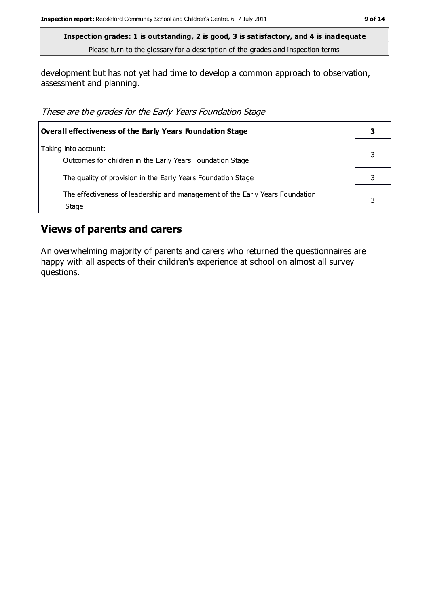development but has not yet had time to develop a common approach to observation, assessment and planning.

These are the grades for the Early Years Foundation Stage

| Overall effectiveness of the Early Years Foundation Stage                             |  |
|---------------------------------------------------------------------------------------|--|
| Taking into account:<br>Outcomes for children in the Early Years Foundation Stage     |  |
| The quality of provision in the Early Years Foundation Stage                          |  |
| The effectiveness of leadership and management of the Early Years Foundation<br>Stage |  |

## **Views of parents and carers**

An overwhelming majority of parents and carers who returned the questionnaires are happy with all aspects of their children's experience at school on almost all survey questions.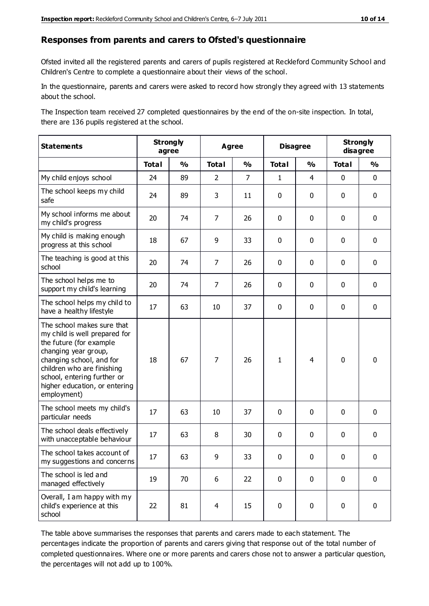#### **Responses from parents and carers to Ofsted's questionnaire**

Ofsted invited all the registered parents and carers of pupils registered at Reckleford Community School and Children's Centre to complete a questionnaire about their views of the school.

In the questionnaire, parents and carers were asked to record how strongly they agreed with 13 statements about the school.

The Inspection team received 27 completed questionnaires by the end of the on-site inspection. In total, there are 136 pupils registered at the school.

| <b>Statements</b>                                                                                                                                                                                                                                       | <b>Strongly</b><br>agree |               | <b>Agree</b>   |                | <b>Disagree</b> |                | <b>Strongly</b><br>disagree |               |
|---------------------------------------------------------------------------------------------------------------------------------------------------------------------------------------------------------------------------------------------------------|--------------------------|---------------|----------------|----------------|-----------------|----------------|-----------------------------|---------------|
|                                                                                                                                                                                                                                                         | <b>Total</b>             | $\frac{1}{2}$ | <b>Total</b>   | $\frac{1}{2}$  | <b>Total</b>    | $\frac{0}{0}$  | <b>Total</b>                | $\frac{1}{2}$ |
| My child enjoys school                                                                                                                                                                                                                                  | 24                       | 89            | $\overline{2}$ | $\overline{7}$ | $\mathbf{1}$    | $\overline{4}$ | $\mathbf 0$                 | $\mathbf 0$   |
| The school keeps my child<br>safe                                                                                                                                                                                                                       | 24                       | 89            | 3              | 11             | 0               | $\mathbf 0$    | $\mathbf 0$                 | $\mathbf 0$   |
| My school informs me about<br>my child's progress                                                                                                                                                                                                       | 20                       | 74            | $\overline{7}$ | 26             | 0               | $\mathbf{0}$   | $\mathbf 0$                 | $\mathbf 0$   |
| My child is making enough<br>progress at this school                                                                                                                                                                                                    | 18                       | 67            | 9              | 33             | 0               | $\mathbf 0$    | $\mathbf 0$                 | $\mathbf 0$   |
| The teaching is good at this<br>school                                                                                                                                                                                                                  | 20                       | 74            | $\overline{7}$ | 26             | 0               | $\mathbf 0$    | $\mathbf 0$                 | $\mathbf 0$   |
| The school helps me to<br>support my child's learning                                                                                                                                                                                                   | 20                       | 74            | $\overline{7}$ | 26             | 0               | $\mathbf{0}$   | $\mathbf 0$                 | $\mathbf 0$   |
| The school helps my child to<br>have a healthy lifestyle                                                                                                                                                                                                | 17                       | 63            | 10             | 37             | 0               | $\mathbf 0$    | $\mathbf 0$                 | $\mathbf 0$   |
| The school makes sure that<br>my child is well prepared for<br>the future (for example<br>changing year group,<br>changing school, and for<br>children who are finishing<br>school, entering further or<br>higher education, or entering<br>employment) | 18                       | 67            | 7              | 26             | $\mathbf{1}$    | 4              | $\mathbf 0$                 | $\mathbf 0$   |
| The school meets my child's<br>particular needs                                                                                                                                                                                                         | 17                       | 63            | 10             | 37             | $\pmb{0}$       | $\mathbf 0$    | $\mathbf 0$                 | $\mathbf 0$   |
| The school deals effectively<br>with unacceptable behaviour                                                                                                                                                                                             | 17                       | 63            | 8              | 30             | 0               | $\mathbf 0$    | $\mathbf 0$                 | $\pmb{0}$     |
| The school takes account of<br>my suggestions and concerns                                                                                                                                                                                              | 17                       | 63            | 9              | 33             | 0               | $\Omega$       | $\Omega$                    | 0             |
| The school is led and<br>managed effectively                                                                                                                                                                                                            | 19                       | 70            | 6              | 22             | $\mathbf 0$     | $\mathbf 0$    | $\mathbf 0$                 | $\mathbf 0$   |
| Overall, I am happy with my<br>child's experience at this<br>school                                                                                                                                                                                     | 22                       | 81            | $\overline{4}$ | 15             | $\pmb{0}$       | $\mathbf 0$    | $\mathbf 0$                 | $\mathbf 0$   |

The table above summarises the responses that parents and carers made to each statement. The percentages indicate the proportion of parents and carers giving that response out of the total number of completed questionnaires. Where one or more parents and carers chose not to answer a particular question, the percentages will not add up to 100%.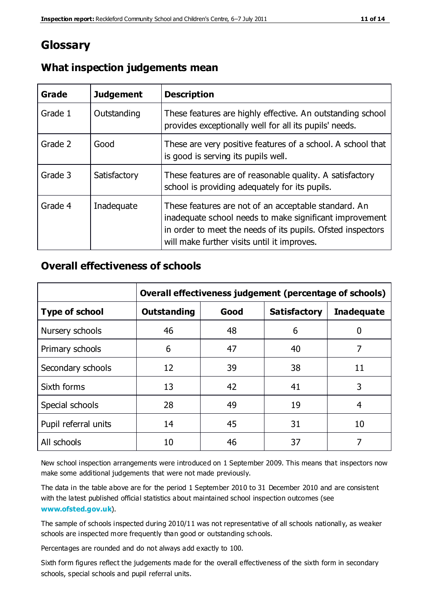## **Glossary**

| Grade   | <b>Judgement</b> | <b>Description</b>                                                                                                                                                                                                            |
|---------|------------------|-------------------------------------------------------------------------------------------------------------------------------------------------------------------------------------------------------------------------------|
| Grade 1 | Outstanding      | These features are highly effective. An outstanding school<br>provides exceptionally well for all its pupils' needs.                                                                                                          |
| Grade 2 | Good             | These are very positive features of a school. A school that<br>is good is serving its pupils well.                                                                                                                            |
| Grade 3 | Satisfactory     | These features are of reasonable quality. A satisfactory<br>school is providing adequately for its pupils.                                                                                                                    |
| Grade 4 | Inadequate       | These features are not of an acceptable standard. An<br>inadequate school needs to make significant improvement<br>in order to meet the needs of its pupils. Ofsted inspectors<br>will make further visits until it improves. |

## **What inspection judgements mean**

## **Overall effectiveness of schools**

|                       | Overall effectiveness judgement (percentage of schools) |      |                     |                   |
|-----------------------|---------------------------------------------------------|------|---------------------|-------------------|
| <b>Type of school</b> | <b>Outstanding</b>                                      | Good | <b>Satisfactory</b> | <b>Inadequate</b> |
| Nursery schools       | 46                                                      | 48   | 6                   |                   |
| Primary schools       | 6                                                       | 47   | 40                  | 7                 |
| Secondary schools     | 12                                                      | 39   | 38                  | 11                |
| Sixth forms           | 13                                                      | 42   | 41                  | 3                 |
| Special schools       | 28                                                      | 49   | 19                  | 4                 |
| Pupil referral units  | 14                                                      | 45   | 31                  | 10                |
| All schools           | 10                                                      | 46   | 37                  |                   |

New school inspection arrangements were introduced on 1 September 2009. This means that inspectors now make some additional judgements that were not made previously.

The data in the table above are for the period 1 September 2010 to 31 December 2010 and are consistent with the latest published official statistics about maintained school inspection outcomes (see **[www.ofsted.gov.uk](http://www.ofsted.gov.uk/)**).

The sample of schools inspected during 2010/11 was not representative of all schools nationally, as weaker schools are inspected more frequently than good or outstanding schools.

Percentages are rounded and do not always add exactly to 100.

Sixth form figures reflect the judgements made for the overall effectiveness of the sixth form in secondary schools, special schools and pupil referral units.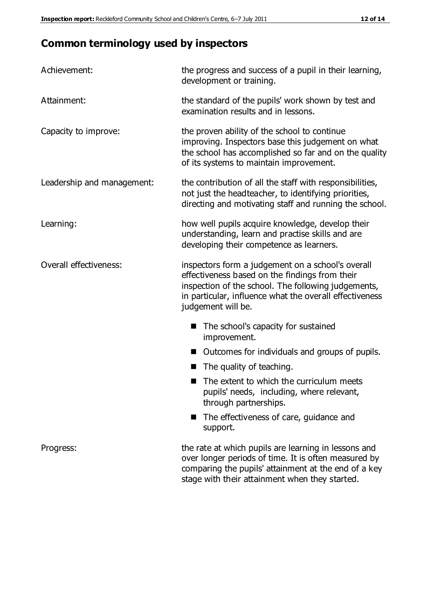# **Common terminology used by inspectors**

| Achievement:               | the progress and success of a pupil in their learning,<br>development or training.                                                                                                                                                          |  |  |
|----------------------------|---------------------------------------------------------------------------------------------------------------------------------------------------------------------------------------------------------------------------------------------|--|--|
| Attainment:                | the standard of the pupils' work shown by test and<br>examination results and in lessons.                                                                                                                                                   |  |  |
| Capacity to improve:       | the proven ability of the school to continue<br>improving. Inspectors base this judgement on what<br>the school has accomplished so far and on the quality<br>of its systems to maintain improvement.                                       |  |  |
| Leadership and management: | the contribution of all the staff with responsibilities,<br>not just the headteacher, to identifying priorities,<br>directing and motivating staff and running the school.                                                                  |  |  |
| Learning:                  | how well pupils acquire knowledge, develop their<br>understanding, learn and practise skills and are<br>developing their competence as learners.                                                                                            |  |  |
| Overall effectiveness:     | inspectors form a judgement on a school's overall<br>effectiveness based on the findings from their<br>inspection of the school. The following judgements,<br>in particular, influence what the overall effectiveness<br>judgement will be. |  |  |
|                            | The school's capacity for sustained<br>improvement.                                                                                                                                                                                         |  |  |
|                            | Outcomes for individuals and groups of pupils.                                                                                                                                                                                              |  |  |
|                            | The quality of teaching.                                                                                                                                                                                                                    |  |  |
|                            | The extent to which the curriculum meets<br>pupils' needs, including, where relevant,<br>through partnerships.                                                                                                                              |  |  |
|                            | The effectiveness of care, guidance and<br>support.                                                                                                                                                                                         |  |  |
| Progress:                  | the rate at which pupils are learning in lessons and<br>over longer periods of time. It is often measured by<br>comparing the pupils' attainment at the end of a key                                                                        |  |  |

stage with their attainment when they started.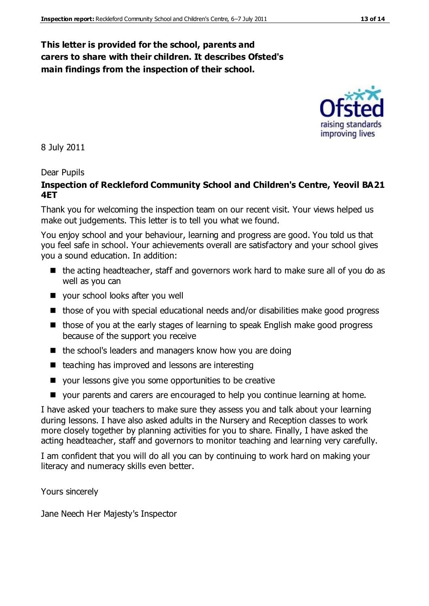## **This letter is provided for the school, parents and carers to share with their children. It describes Ofsted's main findings from the inspection of their school.**

8 July 2011

#### Dear Pupils

#### **Inspection of Reckleford Community School and Children's Centre, Yeovil BA21 4ET**

Thank you for welcoming the inspection team on our recent visit. Your views helped us make out judgements. This letter is to tell you what we found.

You enjoy school and your behaviour, learning and progress are good. You told us that you feel safe in school. Your achievements overall are satisfactory and your school gives you a sound education. In addition:

- $\blacksquare$  the acting headteacher, staff and governors work hard to make sure all of you do as well as you can
- vour school looks after you well
- those of you with special educational needs and/or disabilities make good progress
- $\blacksquare$  those of you at the early stages of learning to speak English make good progress because of the support you receive
- $\blacksquare$  the school's leaders and managers know how you are doing
- $\blacksquare$  teaching has improved and lessons are interesting
- your lessons give you some opportunities to be creative
- your parents and carers are encouraged to help you continue learning at home.

I have asked your teachers to make sure they assess you and talk about your learning during lessons. I have also asked adults in the Nursery and Reception classes to work more closely together by planning activities for you to share. Finally, I have asked the acting headteacher, staff and governors to monitor teaching and learning very carefully.

I am confident that you will do all you can by continuing to work hard on making your literacy and numeracy skills even better.

Yours sincerely

Jane Neech Her Majesty's Inspector